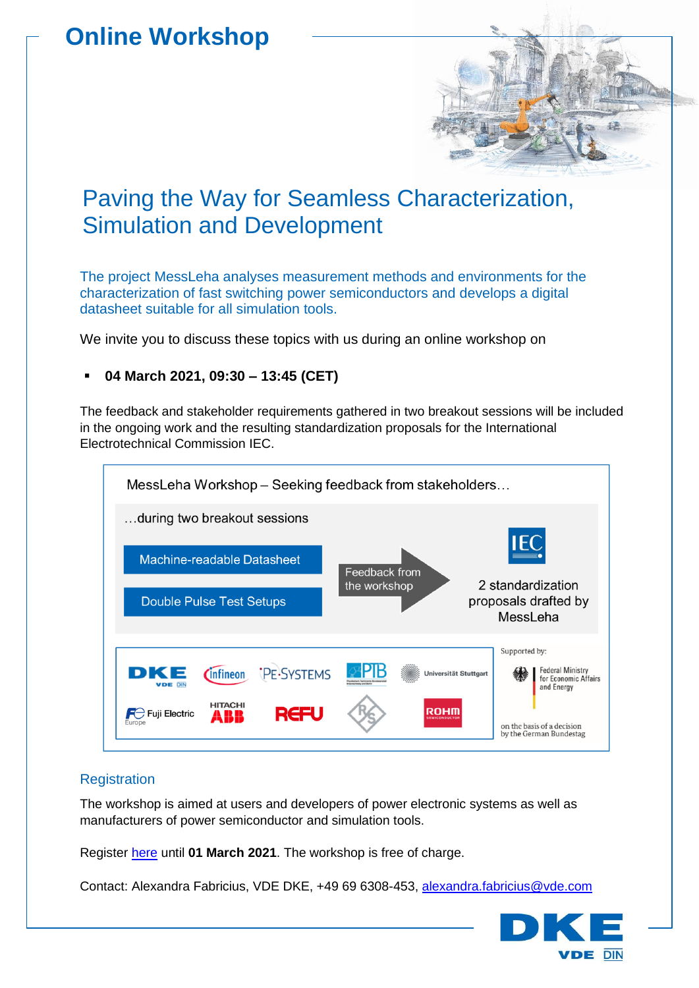# **Online Workshop**



The project MessLeha analyses measurement methods and environments for the characterization of fast switching power semiconductors and develops a digital datasheet suitable for all simulation tools.

We invite you to discuss these topics with us during an online workshop on

# ▪ **04 March 2021, 09:30 – 13:45 (CET)**

The feedback and stakeholder requirements gathered in two breakout sessions will be included in the ongoing work and the resulting standardization proposals for the International Electrotechnical Commission IEC.



# **Registration**

The workshop is aimed at users and developers of power electronic systems as well as manufacturers of power semiconductor and simulation tools.

Register [here](http://www.dke.de/messleha-en#register) until **01 March 2021**. The workshop is free of charge.

Contact: Alexandra Fabricius, VDE DKE, +49 69 6308-453, [alexandra.fabricius@vde.com](mailto:alexandra.fabricius@vde.com)